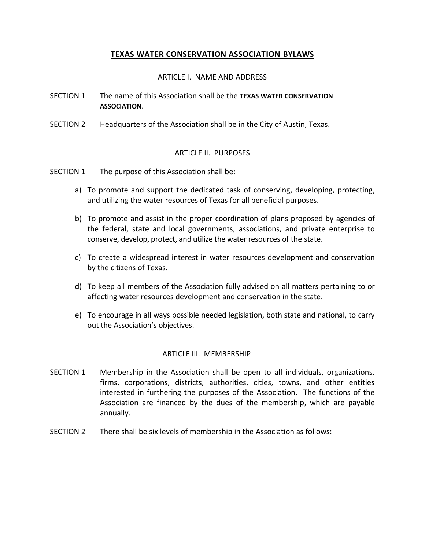# **TEXAS WATER CONSERVATION ASSOCIATION BYLAWS**

### ARTICLE I. NAME AND ADDRESS

- SECTION 1 The name of this Association shall be the **TEXAS WATER CONSERVATION ASSOCIATION**.
- SECTION 2 Headquarters of the Association shall be in the City of Austin, Texas.

## ARTICLE II. PURPOSES

- SECTION 1 The purpose of this Association shall be:
	- a) To promote and support the dedicated task of conserving, developing, protecting, and utilizing the water resources of Texas for all beneficial purposes.
	- b) To promote and assist in the proper coordination of plans proposed by agencies of the federal, state and local governments, associations, and private enterprise to conserve, develop, protect, and utilize the water resources of the state.
	- c) To create a widespread interest in water resources development and conservation by the citizens of Texas.
	- d) To keep all members of the Association fully advised on all matters pertaining to or affecting water resources development and conservation in the state.
	- e) To encourage in all ways possible needed legislation, both state and national, to carry out the Association's objectives.

#### ARTICLE III. MEMBERSHIP

- SECTION 1 Membership in the Association shall be open to all individuals, organizations, firms, corporations, districts, authorities, cities, towns, and other entities interested in furthering the purposes of the Association. The functions of the Association are financed by the dues of the membership, which are payable annually.
- SECTION 2 There shall be six levels of membership in the Association as follows: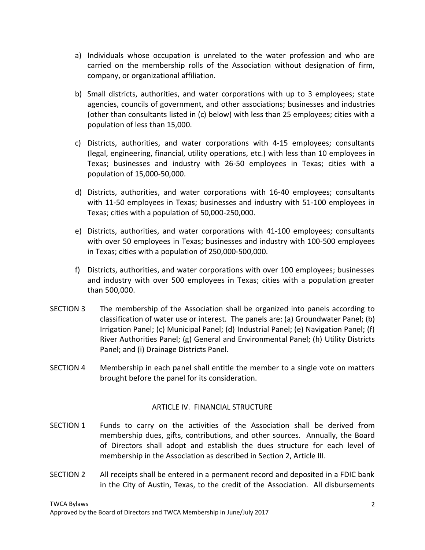- a) Individuals whose occupation is unrelated to the water profession and who are carried on the membership rolls of the Association without designation of firm, company, or organizational affiliation.
- b) Small districts, authorities, and water corporations with up to 3 employees; state agencies, councils of government, and other associations; businesses and industries (other than consultants listed in (c) below) with less than 25 employees; cities with a population of less than 15,000.
- c) Districts, authorities, and water corporations with 4-15 employees; consultants (legal, engineering, financial, utility operations, etc.) with less than 10 employees in Texas; businesses and industry with 26-50 employees in Texas; cities with a population of 15,000-50,000.
- d) Districts, authorities, and water corporations with 16-40 employees; consultants with 11-50 employees in Texas; businesses and industry with 51-100 employees in Texas; cities with a population of 50,000-250,000.
- e) Districts, authorities, and water corporations with 41-100 employees; consultants with over 50 employees in Texas; businesses and industry with 100-500 employees in Texas; cities with a population of 250,000-500,000.
- f) Districts, authorities, and water corporations with over 100 employees; businesses and industry with over 500 employees in Texas; cities with a population greater than 500,000.
- SECTION 3 The membership of the Association shall be organized into panels according to classification of water use or interest. The panels are: (a) Groundwater Panel; (b) Irrigation Panel; (c) Municipal Panel; (d) Industrial Panel; (e) Navigation Panel; (f) River Authorities Panel; (g) General and Environmental Panel; (h) Utility Districts Panel; and (i) Drainage Districts Panel.
- SECTION 4 Membership in each panel shall entitle the member to a single vote on matters brought before the panel for its consideration.

## ARTICLE IV. FINANCIAL STRUCTURE

- SECTION 1 Funds to carry on the activities of the Association shall be derived from membership dues, gifts, contributions, and other sources. Annually, the Board of Directors shall adopt and establish the dues structure for each level of membership in the Association as described in Section 2, Article III.
- SECTION 2 All receipts shall be entered in a permanent record and deposited in a FDIC bank in the City of Austin, Texas, to the credit of the Association. All disbursements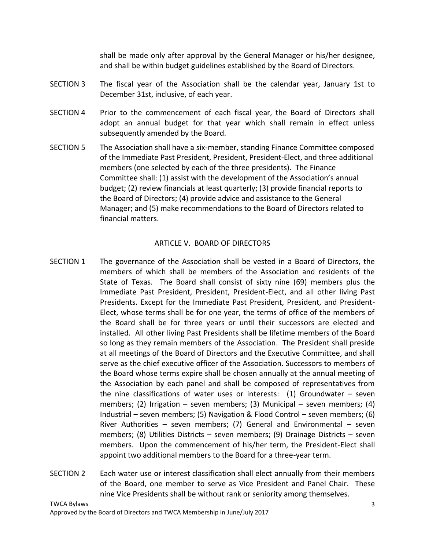shall be made only after approval by the General Manager or his/her designee, and shall be within budget guidelines established by the Board of Directors.

- SECTION 3 The fiscal year of the Association shall be the calendar year, January 1st to December 31st, inclusive, of each year.
- SECTION 4 Prior to the commencement of each fiscal year, the Board of Directors shall adopt an annual budget for that year which shall remain in effect unless subsequently amended by the Board.
- SECTION 5 The Association shall have a six-member, standing Finance Committee composed of the Immediate Past President, President, President-Elect, and three additional members (one selected by each of the three presidents). The Finance Committee shall: (1) assist with the development of the Association's annual budget; (2) review financials at least quarterly; (3) provide financial reports to the Board of Directors; (4) provide advice and assistance to the General Manager; and (5) make recommendations to the Board of Directors related to financial matters.

### ARTICLE V. BOARD OF DIRECTORS

- SECTION 1 The governance of the Association shall be vested in a Board of Directors, the members of which shall be members of the Association and residents of the State of Texas. The Board shall consist of sixty nine (69) members plus the Immediate Past President, President, President-Elect, and all other living Past Presidents. Except for the Immediate Past President, President, and President-Elect, whose terms shall be for one year, the terms of office of the members of the Board shall be for three years or until their successors are elected and installed. All other living Past Presidents shall be lifetime members of the Board so long as they remain members of the Association. The President shall preside at all meetings of the Board of Directors and the Executive Committee, and shall serve as the chief executive officer of the Association. Successors to members of the Board whose terms expire shall be chosen annually at the annual meeting of the Association by each panel and shall be composed of representatives from the nine classifications of water uses or interests: (1) Groundwater – seven members; (2) Irrigation – seven members; (3) Municipal – seven members; (4) Industrial – seven members; (5) Navigation & Flood Control – seven members; (6) River Authorities – seven members; (7) General and Environmental – seven members; (8) Utilities Districts – seven members; (9) Drainage Districts – seven members. Upon the commencement of his/her term, the President-Elect shall appoint two additional members to the Board for a three-year term.
- SECTION 2 Each water use or interest classification shall elect annually from their members of the Board, one member to serve as Vice President and Panel Chair. These nine Vice Presidents shall be without rank or seniority among themselves.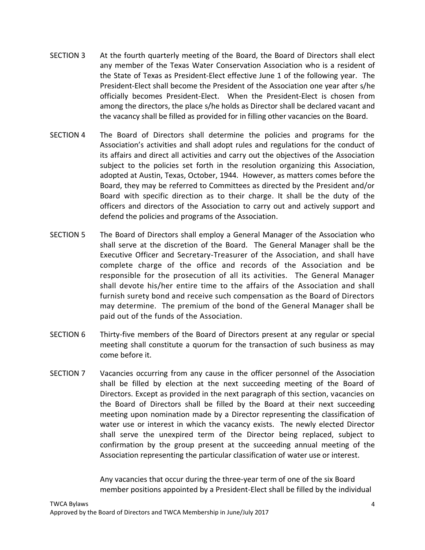- SECTION 3 At the fourth quarterly meeting of the Board, the Board of Directors shall elect any member of the Texas Water Conservation Association who is a resident of the State of Texas as President-Elect effective June 1 of the following year. The President-Elect shall become the President of the Association one year after s/he officially becomes President-Elect. When the President-Elect is chosen from among the directors, the place s/he holds as Director shall be declared vacant and the vacancy shall be filled as provided for in filling other vacancies on the Board.
- SECTION 4 The Board of Directors shall determine the policies and programs for the Association's activities and shall adopt rules and regulations for the conduct of its affairs and direct all activities and carry out the objectives of the Association subject to the policies set forth in the resolution organizing this Association, adopted at Austin, Texas, October, 1944. However, as matters comes before the Board, they may be referred to Committees as directed by the President and/or Board with specific direction as to their charge. It shall be the duty of the officers and directors of the Association to carry out and actively support and defend the policies and programs of the Association.
- SECTION 5 The Board of Directors shall employ a General Manager of the Association who shall serve at the discretion of the Board. The General Manager shall be the Executive Officer and Secretary-Treasurer of the Association, and shall have complete charge of the office and records of the Association and be responsible for the prosecution of all its activities. The General Manager shall devote his/her entire time to the affairs of the Association and shall furnish surety bond and receive such compensation as the Board of Directors may determine. The premium of the bond of the General Manager shall be paid out of the funds of the Association.
- SECTION 6 Thirty-five members of the Board of Directors present at any regular or special meeting shall constitute a quorum for the transaction of such business as may come before it.
- SECTION 7 Vacancies occurring from any cause in the officer personnel of the Association shall be filled by election at the next succeeding meeting of the Board of Directors. Except as provided in the next paragraph of this section, vacancies on the Board of Directors shall be filled by the Board at their next succeeding meeting upon nomination made by a Director representing the classification of water use or interest in which the vacancy exists. The newly elected Director shall serve the unexpired term of the Director being replaced, subject to confirmation by the group present at the succeeding annual meeting of the Association representing the particular classification of water use or interest.

Any vacancies that occur during the three-year term of one of the six Board member positions appointed by a President-Elect shall be filled by the individual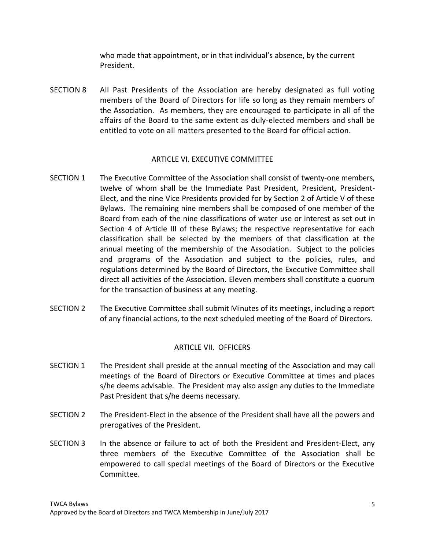who made that appointment, or in that individual's absence, by the current President.

SECTION 8 All Past Presidents of the Association are hereby designated as full voting members of the Board of Directors for life so long as they remain members of the Association. As members, they are encouraged to participate in all of the affairs of the Board to the same extent as duly-elected members and shall be entitled to vote on all matters presented to the Board for official action.

### ARTICLE VI. EXECUTIVE COMMITTEE

- SECTION 1 The Executive Committee of the Association shall consist of twenty-one members, twelve of whom shall be the Immediate Past President, President, President-Elect, and the nine Vice Presidents provided for by Section 2 of Article V of these Bylaws. The remaining nine members shall be composed of one member of the Board from each of the nine classifications of water use or interest as set out in Section 4 of Article III of these Bylaws; the respective representative for each classification shall be selected by the members of that classification at the annual meeting of the membership of the Association. Subject to the policies and programs of the Association and subject to the policies, rules, and regulations determined by the Board of Directors, the Executive Committee shall direct all activities of the Association. Eleven members shall constitute a quorum for the transaction of business at any meeting.
- SECTION 2 The Executive Committee shall submit Minutes of its meetings, including a report of any financial actions, to the next scheduled meeting of the Board of Directors.

## ARTICLE VII. OFFICERS

- SECTION 1 The President shall preside at the annual meeting of the Association and may call meetings of the Board of Directors or Executive Committee at times and places s/he deems advisable. The President may also assign any duties to the Immediate Past President that s/he deems necessary.
- SECTION 2 The President-Elect in the absence of the President shall have all the powers and prerogatives of the President.
- SECTION 3 In the absence or failure to act of both the President and President-Elect, any three members of the Executive Committee of the Association shall be empowered to call special meetings of the Board of Directors or the Executive Committee.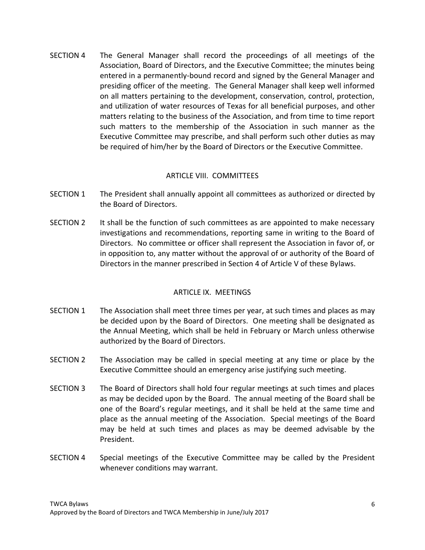SECTION 4 The General Manager shall record the proceedings of all meetings of the Association, Board of Directors, and the Executive Committee; the minutes being entered in a permanently-bound record and signed by the General Manager and presiding officer of the meeting. The General Manager shall keep well informed on all matters pertaining to the development, conservation, control, protection, and utilization of water resources of Texas for all beneficial purposes, and other matters relating to the business of the Association, and from time to time report such matters to the membership of the Association in such manner as the Executive Committee may prescribe, and shall perform such other duties as may be required of him/her by the Board of Directors or the Executive Committee.

## ARTICLE VIII. COMMITTEES

- SECTION 1 The President shall annually appoint all committees as authorized or directed by the Board of Directors.
- SECTION 2 It shall be the function of such committees as are appointed to make necessary investigations and recommendations, reporting same in writing to the Board of Directors. No committee or officer shall represent the Association in favor of, or in opposition to, any matter without the approval of or authority of the Board of Directors in the manner prescribed in Section 4 of Article V of these Bylaws.

## ARTICLE IX. MEETINGS

- SECTION 1 The Association shall meet three times per year, at such times and places as may be decided upon by the Board of Directors. One meeting shall be designated as the Annual Meeting, which shall be held in February or March unless otherwise authorized by the Board of Directors.
- SECTION 2 The Association may be called in special meeting at any time or place by the Executive Committee should an emergency arise justifying such meeting.
- SECTION 3 The Board of Directors shall hold four regular meetings at such times and places as may be decided upon by the Board. The annual meeting of the Board shall be one of the Board's regular meetings, and it shall be held at the same time and place as the annual meeting of the Association. Special meetings of the Board may be held at such times and places as may be deemed advisable by the President.
- SECTION 4 Special meetings of the Executive Committee may be called by the President whenever conditions may warrant.